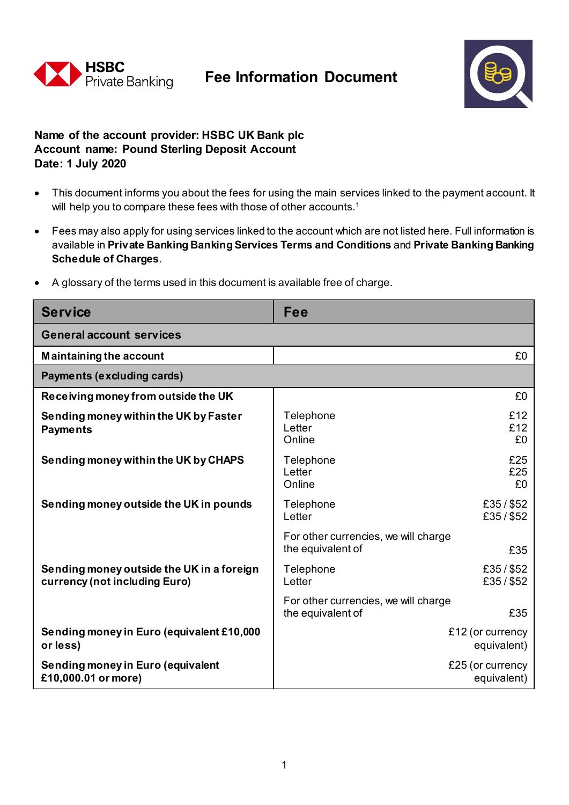



## **Name of the account provider: HSBC UK Bank plc A.ccount name: Pound Sterling Deposit Account Date: 1 July 2020**

- This document informs you about the fees for using the main services linked to the payment account. It will help you to compare these fees with those of other accounts.<sup>1</sup>
- Fees may also apply for using services linked to the account which are not listed here. Full information is available in **Private Banking Banking Services Terms and Conditions** and **Private Banking Banking Schedule of Charges**.
- A glossary of the terms used in this document is available free of charge.

| <b>Service</b>                                                             | Fee                                                              |  |
|----------------------------------------------------------------------------|------------------------------------------------------------------|--|
| <b>General account services</b>                                            |                                                                  |  |
| <b>Maintaining the account</b>                                             | £0                                                               |  |
| Payments (excluding cards)                                                 |                                                                  |  |
| Receiving money from outside the UK                                        | £0                                                               |  |
| Sending money within the UK by Faster<br><b>Payments</b>                   | £12<br>Telephone<br>£12<br>Letter<br>Online<br>£0                |  |
| Sending money within the UK by CHAPS                                       | £25<br>Telephone<br>£25<br>Letter<br>Online<br>£0                |  |
| Sending money outside the UK in pounds                                     | £35/\$52<br>Telephone<br>£35/\$52<br>Letter                      |  |
|                                                                            | For other currencies, we will charge<br>the equivalent of<br>£35 |  |
| Sending money outside the UK in a foreign<br>currency (not including Euro) | £35/\$52<br>Telephone<br>£35/\$52<br>Letter                      |  |
|                                                                            | For other currencies, we will charge<br>the equivalent of<br>£35 |  |
| Sending money in Euro (equivalent £10,000<br>or less)                      | £12 (or currency<br>equivalent)                                  |  |
| Sending money in Euro (equivalent<br>£10,000.01 or more)                   | £25 (or currency<br>equivalent)                                  |  |